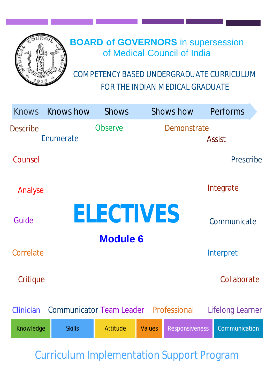

# **BOARD of GOVERNORS** in supersession of Medical Council of India

COMPETENCY BASED UNDERGRADUATE CURRICULUM FOR THE INDIAN MEDICAL GRADUATE

| <b>Knows</b>    | <b>Knows how</b>                             | <b>Shows</b>     |               | <b>Shows how</b>      | Performs         |  |
|-----------------|----------------------------------------------|------------------|---------------|-----------------------|------------------|--|
| <b>Describe</b> | Enumerate                                    | <b>Observe</b>   |               | Demonstrate           |                  |  |
|                 |                                              |                  |               |                       | <b>Assist</b>    |  |
| Counsel         |                                              |                  |               |                       | Prescribe        |  |
| Analyse         |                                              |                  |               |                       | Integrate        |  |
| Guide           |                                              | <b>ELECTIVES</b> |               |                       | Communicate      |  |
|                 |                                              | <b>Module 6</b>  |               |                       |                  |  |
| Correlate       |                                              |                  |               |                       | Interpret        |  |
| Critique        |                                              |                  |               |                       | Collaborate      |  |
| Clinician       | <b>Communicator Team Leader Professional</b> |                  |               |                       | Lifelong Learner |  |
| Knowledge       | <b>Skills</b>                                | <b>Attitude</b>  | <b>Values</b> | <b>Responsiveness</b> | Communication    |  |

Curriculum Implementation Support Program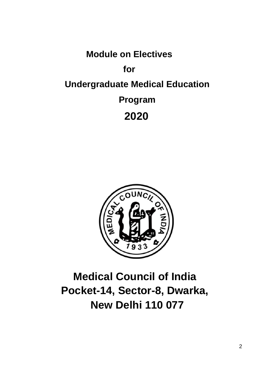**Module on Electives for Undergraduate Medical Education Program 2020**



# **Medical Council of India Pocket-14, Sector-8, Dwarka, New Delhi 110 077**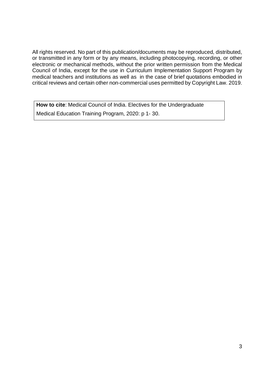All rights reserved. No part of this publication/documents may be reproduced, distributed, or transmitted in any form or by any means, including photocopying, recording, or other electronic or mechanical methods, without the prior written permission from the Medical Council of India, except for the use in Curriculum Implementation Support Program by medical teachers and institutions as well as in the case of brief quotations embodied in critical reviews and certain other non-commercial uses permitted by Copyright Law. 2019.

**How to cite**: Medical Council of India. Electives for the Undergraduate Medical Education Training Program, 2020: p 1- 30.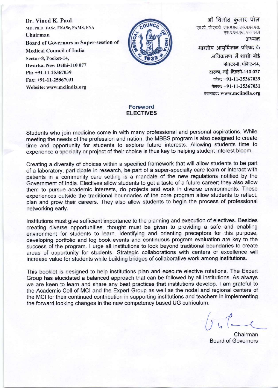Dr. Vinod K. Paul MD, Ph.D, FASe, FNASe, FAMS, FNA Chairman **Board of Governors in Super-session of Medical Council of India** Sector-8, Pocket-14, Dwarka, New Delhi-110 077 Ph: +91-11-25367039 Fax: +91-11-25367031 Website: www.mciindia.org



डॉ विनोद कुमार पॉल एम.डी., पी.एचडी., एफ.ए.एस. एफ.ए.एन.एस. एफ.ए.एम.एस., एफ.एन.ए अध्यक्ष भारतीय आयुर्विज्ञान परिषद के अधिकमण में शासी बोर्ड

सेक्टर-8, पॉकेट-14, द्वारका, नई दिल्ली-110 077 फोन: +91-11-25367039 फैक्स: +91-11-25367031 वेबसाइट: www.mciindia.org

#### Foreword **ELECTIVES**

Students who join medicine come in with many professional and personal aspirations. While meeting the needs of the profession and nation, the MBBS program is also designed to create time and opportunity for students to explore future interests. Allowing students time to experience a specialty or project of their choice is thus key to helping student interest bloom.

Creating a diversity of choices within a specified framework that will allow students to be part of a laboratory, participate in research, be part of a super-specialty care team or interact with patients in a community care setting is a mandate of the new regulations notified by the Government of India. Electives allow students to get a taste of a future career; they also allow them to pursue academic interests, do projects and work in diverse environments. These experiences outside the traditional boundaries of the core program allow students to reflect, plan and grow their careers. They also allow students to begin the process of professional networking early.

Institutions must give sufficient importance to the planning and execution of electives. Besides creating diverse opportunities, thought must be given to providing a safe and enabling environment for students to learn. Identifying and orienting preceptors for this purpose, developing portfolio and log book events and continuous program evaluation are key to the success of the program. I urge all institutions to look beyond traditional boundaries to create areas of opportunity for students. Strategic collaborations with centers of excellence will increase value for students while building bridges of collaborative work among institutions.

This booklet is designed to help institutions plan and execute elective rotations. The Expert Group has elucidated a balanced approach that can be followed by all institutions. As always we are keen to learn and share any best practices that institutions develop. I am grateful to the Academic Cell of MCI and the Expert Group as well as the nodal and regional centers of the MCI for their continued contribution in supporting institutions and teachers in implementing the forward looking changes in the new competency based UG curriculum.

Chairman **Board of Governors**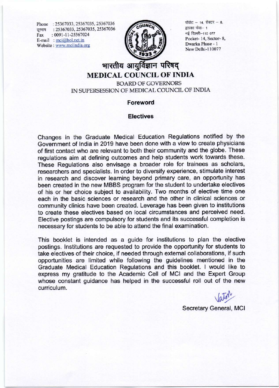Phone: 25367033, 25367035, 25367036 दूरभाष : 25367033, 25367035, 25367036  $: 0091 - 11 - 25367024$ Fax E-mail :  $mci@bol.net.in$ Website: www.mciindia.org



पॉकेट - 14, सेक्टर - 8, द्वारका फेस- 1 नई दिल्ली-110 077 Pocket-14, Sector-8, Dwarka Phase - 1 New Delhi-110077

### भारतीय आयुर्विज्ञान परिषद **MEDICAL COUNCIL OF INDIA**

**BOARD OF GOVERNORS** IN SUPERSESSION OF MEDICAL COUNCIL OF INDIA

#### **Foreword**

#### **Electives**

Changes in the Graduate Medical Education Regulations notified by the Government of India in 2019 have been done with a view to create physicians of first contact who are relevant to both their community and the globe. These regulations aim at defining outcomes and help students work towards these. These Regulations also envisage a broader role for trainees as scholars, researchers and specialists. In order to diversify experience, stimulate interest in research and discover learning beyond primary care, an opportunity has been created in the new MBBS program for the student to undertake electives of his or her choice subject to availability. Two months of elective time one each in the basic sciences or research and the other in clinical sciences or community clinics have been created. Leverage has been given to institutions to create these electives based on local circumstances and perceived need. Elective postings are compulsory for students and its successful completion is necessary for students to be able to attend the final examination.

This booklet is intended as a guide for institutions to plan the elective postings. Institutions are requested to provide the opportunity for students to take electives of their choice, if needed through external collaborations, if such opportunities are limited while following the guidelines mentioned in the Graduate Medical Education Regulations and this booklet. I would like to express my gratitude to the Academic Cell of MCI and the Expert Group whose constant guidance has helped in the successful roll out of the new curriculum.

Secretary General, MCI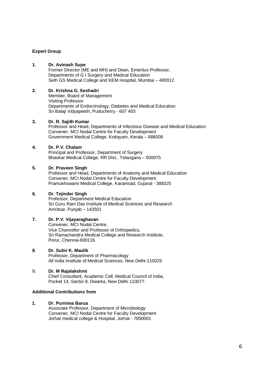#### **Expert Group**

#### **1. Dr. Avinash Supe**

Former Director (ME and MH) and Dean, Emeritus Professor, Departments of G I Surgery and Medical Education Seth GS Medical College and KEM Hospital, Mumbai – 400012

#### **2. Dr. Krishna G. Seshadri**

Member, Board of Management Visiting Professor Departments of Endocrinology, Diabetes and Medical Education Sri Balaji Vidyapeeth, Puducherry - 607 403

#### **3. Dr. R. Sajith Kumar**

Professor and Head, Departments of Infectious Disease and Medical Education Convener, MCI Nodal Centre for Faculty Development Government Medical College, Kottayam, Kerala – 686008

#### **4. Dr. P.V. Chalam**

Principal and Professor, Department of Surgery Bhaskar Medical College, RR Dist., Telangana – 500075

#### **5. Dr. Praveen Singh**

Professor and Head, Departments of Anatomy and Medical Education Convener, MCI Nodal Centre for Faculty Development Pramukhswami Medical College, Karamsad, Gujarat - 388325

#### **6. Dr. Tejinder Singh**

Professor, Department Medical Education Sri Guru Ram Das Institute of Medical Sciences and Research Amritsar, Punjab – 143501

#### **7. Dr. P.V. Vijayaraghavan**

Convener, MCI Nodal Centre, Vice Chancellor and Professor of Orthopedics, Sri Ramachandra Medical College and Research Institute, Porur, Chennai-600116.

#### **8**. **Dr. Subir K. Maulik**

Professor, Department of Pharmacology All India Institute of Medical Sciences, New Delhi-110029

#### 9**. Dr. M Rajalakshmi**

Chief Consultant, Academic Cell, Medical Council of India, Pocket 14, Sector 8, Dwarka, New Delhi 110077.

#### **Additional Contributions from**

#### **1. Dr. Purnima Barua**

Associate Professor, Department of Microbiology Convener, MCI Nodal Centre for Faculty Development Jorhat medical college & Hospital, Jorhat - 7850001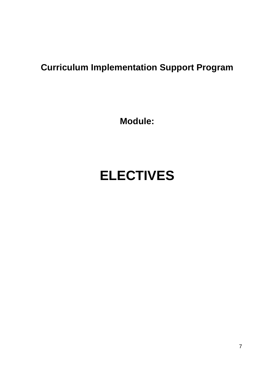# **Curriculum Implementation Support Program**

**Module:** 

# **ELECTIVES**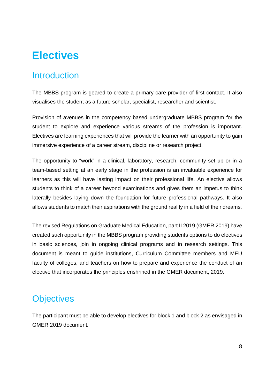# **Electives**

### **Introduction**

The MBBS program is geared to create a primary care provider of first contact. It also visualises the student as a future scholar, specialist, researcher and scientist.

Provision of avenues in the competency based undergraduate MBBS program for the student to explore and experience various streams of the profession is important. Electives are learning experiences that will provide the learner with an opportunity to gain immersive experience of a career stream, discipline or research project.

The opportunity to "work" in a clinical, laboratory, research, community set up or in a team-based setting at an early stage in the profession is an invaluable experience for learners as this will have lasting impact on their professional life. An elective allows students to think of a career beyond examinations and gives them an impetus to think laterally besides laying down the foundation for future professional pathways. It also allows students to match their aspirations with the ground reality in a field of their dreams.

The revised Regulations on Graduate Medical Education, part II 2019 (GMER 2019) have created such opportunity in the MBBS program providing students options to do electives in basic sciences, join in ongoing clinical programs and in research settings. This document is meant to guide institutions, Curriculum Committee members and MEU faculty of colleges, and teachers on how to prepare and experience the conduct of an elective that incorporates the principles enshrined in the GMER document, 2019.

### **Objectives**

The participant must be able to develop electives for block 1 and block 2 as envisaged in GMER 2019 document.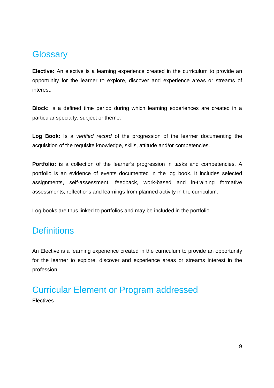### **Glossary**

**Elective:** An elective is a learning experience created in the curriculum to provide an opportunity for the learner to explore, discover and experience areas or streams of interest.

**Block:** is a defined time period during which learning experiences are created in a particular specialty, subject or theme.

**Log Book:** Is a *verified record* of the progression of the learner documenting the acquisition of the requisite knowledge, skills, attitude and/or competencies.

**Portfolio:** is a collection of the learner's progression in tasks and competencies. A portfolio is an evidence of events documented in the log book. It includes selected assignments, self-assessment, feedback, work-based and in-training formative assessments, reflections and learnings from planned activity in the curriculum.

Log books are thus linked to portfolios and may be included in the portfolio.

### **Definitions**

An Elective is a learning experience created in the curriculum to provide an opportunity for the learner to explore, discover and experience areas or streams interest in the profession.

### Curricular Element or Program addressed Electives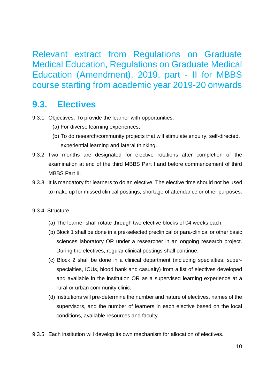Relevant extract from Regulations on Graduate Medical Education, Regulations on Graduate Medical Education (Amendment), 2019, part - II for MBBS course starting from academic year 2019-20 onwards

### **9.3. Electives**

- 9.3.1 Objectives: To provide the learner with opportunities:
	- (a) For diverse learning experiences,
	- (b) To do research/community projects that will stimulate enquiry, self-directed, experiential learning and lateral thinking.
- 9.3.2 Two months are designated for elective rotations after completion of the examination at end of the third MBBS Part I and before commencement of third MBBS Part II.
- 9.3.3 It is mandatory for learners to do an elective. The elective time should not be used to make up for missed clinical postings, shortage of attendance or other purposes.
- 9.3.4 Structure
	- (a) The learner shall rotate through two elective blocks of 04 weeks each.
	- (b) Block 1 shall be done in a pre-selected preclinical or para-clinical or other basic sciences laboratory OR under a researcher in an ongoing research project. During the electives, regular clinical postings shall continue.
	- (c) Block 2 shall be done in a clinical department (including specialties, superspecialties, ICUs, blood bank and casualty) from a list of electives developed and available in the institution OR as a supervised learning experience at a rural or urban community clinic.
	- (d) Institutions will pre-determine the number and nature of electives, names of the supervisors, and the number of learners in each elective based on the local conditions, available resources and faculty.
- 9.3.5 Each institution will develop its own mechanism for allocation of electives.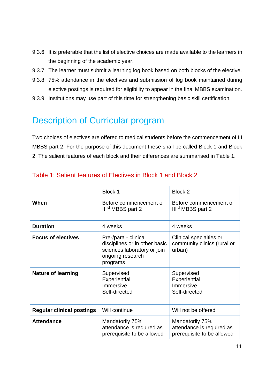- 9.3.6 It is preferable that the list of elective choices are made available to the learners in the beginning of the academic year.
- 9.3.7 The learner must submit a learning log book based on both blocks of the elective.
- 9.3.8 75% attendance in the electives and submission of log book maintained during elective postings is required for eligibility to appear in the final MBBS examination.
- 9.3.9 Institutions may use part of this time for strengthening basic skill certification.

### Description of Curricular program

Two choices of electives are offered to medical students before the commencement of III MBBS part 2. For the purpose of this document these shall be called Block 1 and Block 2. The salient features of each block and their differences are summarised in Table 1.

|                                  | Block 1                                                                                                              | Block 2                                                                    |
|----------------------------------|----------------------------------------------------------------------------------------------------------------------|----------------------------------------------------------------------------|
| When                             | Before commencement of<br>Ill <sup>rd</sup> MBBS part 2                                                              | Before commencement of<br>Ill <sup>rd</sup> MBBS part 2                    |
| <b>Duration</b>                  | 4 weeks                                                                                                              | 4 weeks                                                                    |
| <b>Focus of electives</b>        | Pre-/para - clinical<br>disciplines or in other basic<br>sciences laboratory or join<br>ongoing research<br>programs | Clinical specialties or<br>community clinics (rural or<br>urban)           |
| <b>Nature of learning</b>        | Supervised<br>Experiential<br>Immersive<br>Self-directed                                                             | Supervised<br>Experiential<br>Immersive<br>Self-directed                   |
| <b>Regular clinical postings</b> | Will continue                                                                                                        | Will not be offered                                                        |
| <b>Attendance</b>                | Mandatorily 75%<br>attendance is required as<br>prerequisite to be allowed                                           | Mandatorily 75%<br>attendance is required as<br>prerequisite to be allowed |

#### Table 1: Salient features of Electives in Block 1 and Block 2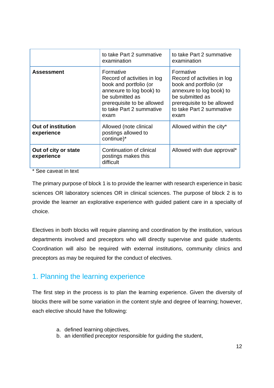|                                         | to take Part 2 summative<br>examination                                                                                                                                             | to take Part 2 summative<br>examination                                                                                                                                             |
|-----------------------------------------|-------------------------------------------------------------------------------------------------------------------------------------------------------------------------------------|-------------------------------------------------------------------------------------------------------------------------------------------------------------------------------------|
| <b>Assessment</b>                       | Formative<br>Record of activities in log<br>book and portfolio (or<br>annexure to log book) to<br>be submitted as<br>prerequisite to be allowed<br>to take Part 2 summative<br>exam | Formative<br>Record of activities in log<br>book and portfolio (or<br>annexure to log book) to<br>be submitted as<br>prerequisite to be allowed<br>to take Part 2 summative<br>exam |
| <b>Out of institution</b><br>experience | Allowed (note clinical<br>postings allowed to<br>continue)*                                                                                                                         | Allowed within the city*                                                                                                                                                            |
| Out of city or state<br>experience      | Continuation of clinical<br>postings makes this<br>difficult                                                                                                                        | Allowed with due approval*                                                                                                                                                          |

\* See caveat in text

The primary purpose of block 1 is to provide the learner with research experience in basic sciences OR laboratory sciences OR in clinical sciences. The purpose of block 2 is to provide the learner an explorative experience with guided patient care in a specialty of choice.

Electives in both blocks will require planning and coordination by the institution, various departments involved and preceptors who will directly supervise and guide students. Coordination will also be required with external institutions, community clinics and preceptors as may be required for the conduct of electives.

### 1. Planning the learning experience

The first step in the process is to plan the learning experience. Given the diversity of blocks there will be some variation in the content style and degree of learning; however, each elective should have the following:

- a. defined learning objectives,
- b. an identified preceptor responsible for guiding the student,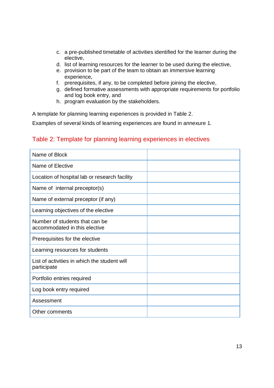- c. a pre-published timetable of activities identified for the learner during the elective,
- d. list of learning resources for the learner to be used during the elective,
- e. provision to be part of the team to obtain an immersive learning experience,
- f. prerequisites, if any, to be completed before joining the elective,
- g. defined formative assessments with appropriate requirements for portfolio and log book entry, and
- h. program evaluation by the stakeholders.

A template for planning learning experiences is provided in Table 2.

Examples of several kinds of learning experiences are found in annexure 1.

#### Table 2: Template for planning learning experiences in electives

| Name of Block                                                   |  |
|-----------------------------------------------------------------|--|
| Name of Elective                                                |  |
| Location of hospital lab or research facility                   |  |
| Name of internal preceptor(s)                                   |  |
| Name of external preceptor (if any)                             |  |
| Learning objectives of the elective                             |  |
| Number of students that can be<br>accommodated in this elective |  |
| Prerequisites for the elective                                  |  |
| Learning resources for students                                 |  |
| List of activities in which the student will<br>participate     |  |
| Portfolio entries required                                      |  |
| Log book entry required                                         |  |
| Assessment                                                      |  |
| Other comments                                                  |  |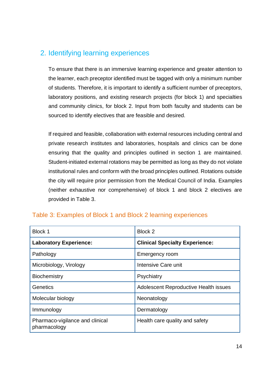### 2. Identifying learning experiences

To ensure that there is an immersive learning experience and greater attention to the learner, each preceptor identified must be tagged with only a minimum number of students. Therefore, it is important to identify a sufficient number of preceptors, laboratory positions, and existing research projects (for block 1) and specialties and community clinics, for block 2. Input from both faculty and students can be sourced to identify electives that are feasible and desired.

If required and feasible, collaboration with external resources including central and private research institutes and laboratories, hospitals and clinics can be done ensuring that the quality and principles outlined in section 1 are maintained. Student-initiated external rotations may be permitted as long as they do not violate institutional rules and conform with the broad principles outlined. Rotations outside the city will require prior permission from the Medical Council of India. Examples (neither exhaustive nor comprehensive) of block 1 and block 2 electives are provided in Table 3.

| Block 1                                         | Block 2                               |
|-------------------------------------------------|---------------------------------------|
| <b>Laboratory Experience:</b>                   | <b>Clinical Specialty Experience:</b> |
| Pathology                                       | Emergency room                        |
| Microbiology, Virology                          | Intensive Care unit                   |
| <b>Biochemistry</b>                             | Psychiatry                            |
| Genetics                                        | Adolescent Reproductive Health issues |
| Molecular biology                               | Neonatology                           |
| Immunology                                      | Dermatology                           |
| Pharmaco-vigilance and clinical<br>pharmacology | Health care quality and safety        |

#### Table 3: Examples of Block 1 and Block 2 learning experiences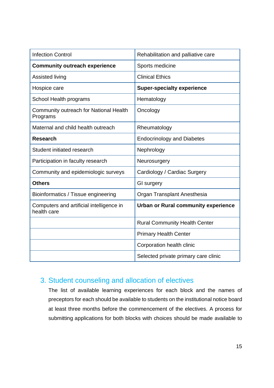| <b>Infection Control</b>                                | Rehabilitation and palliative care         |
|---------------------------------------------------------|--------------------------------------------|
| <b>Community outreach experience</b>                    | Sports medicine                            |
| Assisted living                                         | <b>Clinical Ethics</b>                     |
| Hospice care                                            | <b>Super-specialty experience</b>          |
| School Health programs                                  | Hematology                                 |
| Community outreach for National Health<br>Programs      | Oncology                                   |
| Maternal and child health outreach                      | Rheumatology                               |
| <b>Research</b>                                         | <b>Endocrinology and Diabetes</b>          |
| Student initiated research                              | Nephrology                                 |
| Participation in faculty research                       | Neurosurgery                               |
| Community and epidemiologic surveys                     | Cardiology / Cardiac Surgery               |
| <b>Others</b>                                           | GI surgery                                 |
| Bioinformatics / Tissue engineering                     | Organ Transplant Anesthesia                |
| Computers and artificial intelligence in<br>health care | <b>Urban or Rural community experience</b> |
|                                                         | <b>Rural Community Health Center</b>       |
|                                                         | <b>Primary Health Center</b>               |
|                                                         | Corporation health clinic                  |
|                                                         | Selected private primary care clinic       |

#### 3. Student counseling and allocation of electives

The list of available learning experiences for each block and the names of preceptors for each should be available to students on the institutional notice board at least three months before the commencement of the electives. A process for submitting applications for both blocks with choices should be made available to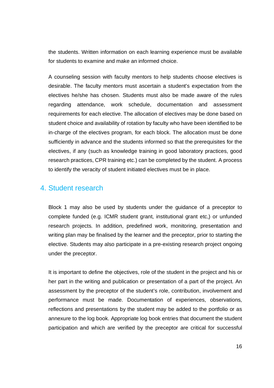the students. Written information on each learning experience must be available for students to examine and make an informed choice.

A counseling session with faculty mentors to help students choose electives is desirable. The faculty mentors must ascertain a student's expectation from the electives he/she has chosen. Students must also be made aware of the rules regarding attendance, work schedule, documentation and assessment requirements for each elective. The allocation of electives may be done based on student choice and availability of rotation by faculty who have been identified to be in-charge of the electives program, for each block. The allocation must be done sufficiently in advance and the students informed so that the prerequisites for the electives, if any (such as knowledge training in good laboratory practices, good research practices, CPR training etc.) can be completed by the student. A process to identify the veracity of student initiated electives must be in place.

#### 4. Student research

Block 1 may also be used by students under the guidance of a preceptor to complete funded (e.g. ICMR student grant, institutional grant etc,) or unfunded research projects. In addition, predefined work, monitoring, presentation and writing plan may be finalised by the learner and the preceptor, prior to starting the elective. Students may also participate in a pre-existing research project ongoing under the preceptor.

It is important to define the objectives, role of the student in the project and his or her part in the writing and publication or presentation of a part of the project. An assessment by the preceptor of the student's role, contribution, involvement and performance must be made. Documentation of experiences, observations, reflections and presentations by the student may be added to the portfolio or as annexure to the log book. Appropriate log book entries that document the student participation and which are verified by the preceptor are critical for successful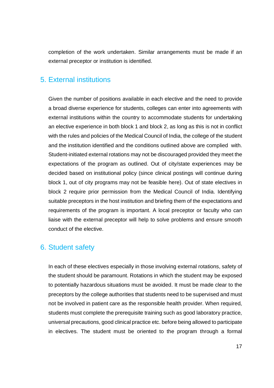completion of the work undertaken. Similar arrangements must be made if an external preceptor or institution is identified.

#### 5. External institutions

Given the number of positions available in each elective and the need to provide a broad diverse experience for students, colleges can enter into agreements with external institutions within the country to accommodate students for undertaking an elective experience in both block 1 and block 2, as long as this is not in conflict with the rules and policies of the Medical Council of India, the college of the student and the institution identified and the conditions outlined above are complied with. Student-initiated external rotations may not be discouraged provided they meet the expectations of the program as outlined. Out of city/state experiences may be decided based on institutional policy (since clinical postings will continue during block 1, out of city programs may not be feasible here). Out of state electives in block 2 require prior permission from the Medical Council of India. Identifying suitable preceptors in the host institution and briefing them of the expectations and requirements of the program is important. A local preceptor or faculty who can liaise with the external preceptor will help to solve problems and ensure smooth conduct of the elective.

#### 6. Student safety

In each of these electives especially in those involving external rotations, safety of the student should be paramount. Rotations in which the student may be exposed to potentially hazardous situations must be avoided. It must be made clear to the preceptors by the college authorities that students need to be supervised and must not be involved in patient care as the responsible health provider. When required, students must complete the prerequisite training such as good laboratory practice, universal precautions, good clinical practice etc. before being allowed to participate in electives. The student must be oriented to the program through a formal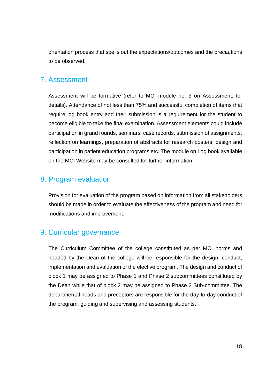orientation process that spells out the expectations/outcomes and the precautions to be observed.

#### 7. Assessment

Assessment will be formative (refer to MCI module no. 3 on Assessment, for details). Attendance of not less than 75% and successful completion of items that require log book entry and their submission is a requirement for the student to become eligible to take the final examination. Assessment elements could include participation in grand rounds, seminars, case records, submission of assignments, reflection on learnings, preparation of abstracts for research posters, design and participation in patient education programs etc. The module on Log book available on the MCI Website may be consulted for further information.

#### 8. Program evaluation

Provision for evaluation of the program based on information from all stakeholders should be made in order to evaluate the effectiveness of the program and need for modifications and improvement.

### 9. Curricular governance

The Curriculum Committee of the college constituted as per MCI norms and headed by the Dean of the college will be responsible for the design, conduct, implementation and evaluation of the elective program. The design and conduct of block 1 may be assigned to Phase 1 and Phase 2 subcommittees constituted by the Dean while that of block 2 may be assigned to Phase 2 Sub-committee. The departmental heads and preceptors are responsible for the day-to-day conduct of the program, guiding and supervising and assessing students.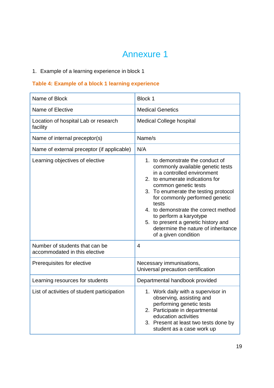## Annexure 1

#### 1. Example of a learning experience in block 1

#### **Table 4: Example of a block 1 learning experience**

| Name of Block                                                   | Block 1                                                                                                                                                                                                                                                                                                                                                                                                                   |  |
|-----------------------------------------------------------------|---------------------------------------------------------------------------------------------------------------------------------------------------------------------------------------------------------------------------------------------------------------------------------------------------------------------------------------------------------------------------------------------------------------------------|--|
| Name of Elective                                                | <b>Medical Genetics</b>                                                                                                                                                                                                                                                                                                                                                                                                   |  |
| Location of hospital Lab or research<br>facility                | <b>Medical College hospital</b>                                                                                                                                                                                                                                                                                                                                                                                           |  |
| Name of internal preceptor(s)                                   | Name/s                                                                                                                                                                                                                                                                                                                                                                                                                    |  |
| Name of external preceptor (if applicable)                      | N/A                                                                                                                                                                                                                                                                                                                                                                                                                       |  |
| Learning objectives of elective                                 | 1. to demonstrate the conduct of<br>commonly available genetic tests<br>in a controlled environment<br>2. to enumerate indications for<br>common genetic tests<br>3. To enumerate the testing protocol<br>for commonly performed genetic<br>tests<br>4. to demonstrate the correct method<br>to perform a karyotype<br>5. to present a genetic history and<br>determine the nature of inheritance<br>of a given condition |  |
| Number of students that can be<br>accommodated in this elective | $\overline{4}$                                                                                                                                                                                                                                                                                                                                                                                                            |  |
| Prerequisites for elective                                      | Necessary immunisations,<br>Universal precaution certification                                                                                                                                                                                                                                                                                                                                                            |  |
| Learning resources for students                                 | Departmental handbook provided                                                                                                                                                                                                                                                                                                                                                                                            |  |
| List of activities of student participation                     | 1. Work daily with a supervisor in<br>observing, assisting and<br>performing genetic tests<br>2. Participate in departmental<br>education activities<br>3. Present at least two tests done by<br>student as a case work up                                                                                                                                                                                                |  |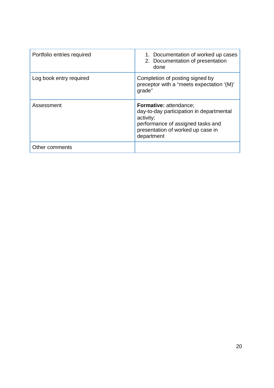| Portfolio entries required | 1. Documentation of worked up cases<br>2. Documentation of presentation<br>done                                                                                                |
|----------------------------|--------------------------------------------------------------------------------------------------------------------------------------------------------------------------------|
| Log book entry required    | Completion of posting signed by<br>preceptor with a "meets expectation '(M)"<br>grade"                                                                                         |
| Assessment                 | <b>Formative: attendance:</b><br>day-to-day participation in departmental<br>activity;<br>performance of assigned tasks and<br>presentation of worked up case in<br>department |
| Other comments             |                                                                                                                                                                                |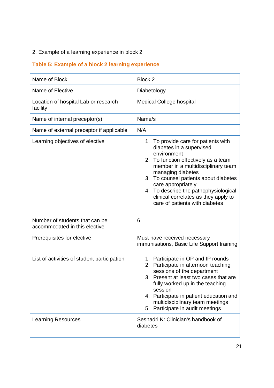#### 2. Example of a learning experience in block 2

### **Table 5: Example of a block 2 learning experience**

| Name of Block                                                   | Block 2                                                                                                                                                                                                                                                                                                                                                              |
|-----------------------------------------------------------------|----------------------------------------------------------------------------------------------------------------------------------------------------------------------------------------------------------------------------------------------------------------------------------------------------------------------------------------------------------------------|
| Name of Elective                                                | Diabetology                                                                                                                                                                                                                                                                                                                                                          |
| Location of hospital Lab or research<br>facility                | <b>Medical College hospital</b>                                                                                                                                                                                                                                                                                                                                      |
| Name of internal preceptor(s)                                   | Name/s                                                                                                                                                                                                                                                                                                                                                               |
| Name of external preceptor if applicable                        | N/A                                                                                                                                                                                                                                                                                                                                                                  |
| Learning objectives of elective                                 | 1. To provide care for patients with<br>diabetes in a supervised<br>environment<br>2. To function effectively as a team<br>member in a multidisciplinary team<br>managing diabetes<br>3. To counsel patients about diabetes<br>care appropriately<br>4. To describe the pathophysiological<br>clinical correlates as they apply to<br>care of patients with diabetes |
| Number of students that can be<br>accommodated in this elective | 6                                                                                                                                                                                                                                                                                                                                                                    |
| Prerequisites for elective                                      | Must have received necessary<br>immunisations, Basic Life Support training                                                                                                                                                                                                                                                                                           |
| List of activities of student participation                     | 1. Participate in OP and IP rounds<br>2. Participate in afternoon teaching<br>sessions of the department<br>3. Present at least two cases that are<br>fully worked up in the teaching<br>session<br>4. Participate in patient education and<br>multidisciplinary team meetings<br>5. Participate in audit meetings                                                   |
| <b>Learning Resources</b>                                       | Seshadri K: Clinician's handbook of<br>diabetes                                                                                                                                                                                                                                                                                                                      |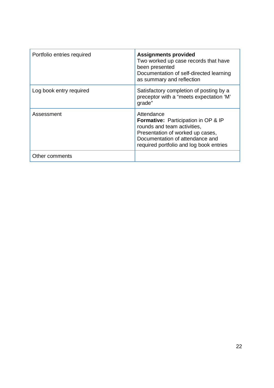| Portfolio entries required | <b>Assignments provided</b><br>Two worked up case records that have<br>been presented<br>Documentation of self-directed learning<br>as summary and reflection                                             |
|----------------------------|-----------------------------------------------------------------------------------------------------------------------------------------------------------------------------------------------------------|
| Log book entry required    | Satisfactory completion of posting by a<br>preceptor with a "meets expectation 'M'<br>grade"                                                                                                              |
| Assessment                 | Attendance<br><b>Formative:</b> Participation in OP & IP<br>rounds and team activities,<br>Presentation of worked up cases,<br>Documentation of attendance and<br>required portfolio and log book entries |
| Other comments             |                                                                                                                                                                                                           |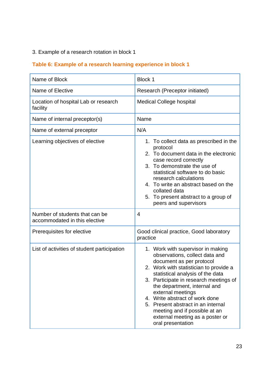#### 3. Example of a research rotation in block 1

### **Table 6: Example of a research learning experience in block 1**

| Name of Block                                                   | Block 1                                                                                                                                                                                                                                                                                                                                                                                                                                       |
|-----------------------------------------------------------------|-----------------------------------------------------------------------------------------------------------------------------------------------------------------------------------------------------------------------------------------------------------------------------------------------------------------------------------------------------------------------------------------------------------------------------------------------|
| Name of Elective                                                | Research (Preceptor initiated)                                                                                                                                                                                                                                                                                                                                                                                                                |
| Location of hospital Lab or research<br>facility                | <b>Medical College hospital</b>                                                                                                                                                                                                                                                                                                                                                                                                               |
| Name of internal preceptor(s)                                   | Name                                                                                                                                                                                                                                                                                                                                                                                                                                          |
| Name of external preceptor                                      | N/A                                                                                                                                                                                                                                                                                                                                                                                                                                           |
| Learning objectives of elective                                 | 1. To collect data as prescribed in the<br>protocol<br>2. To document data in the electronic<br>case record correctly<br>3. To demonstrate the use of<br>statistical software to do basic<br>research calculations<br>4. To write an abstract based on the<br>collated data<br>5. To present abstract to a group of<br>peers and supervisors                                                                                                  |
| Number of students that can be<br>accommodated in this elective | 4                                                                                                                                                                                                                                                                                                                                                                                                                                             |
| Prerequisites for elective                                      | Good clinical practice, Good laboratory<br>practice                                                                                                                                                                                                                                                                                                                                                                                           |
| List of activities of student participation                     | 1. Work with supervisor in making<br>observations, collect data and<br>document as per protocol<br>2. Work with statistician to provide a<br>statistical analysis of the data<br>3. Participate in research meetings of<br>the department, internal and<br>external meetings<br>4. Write abstract of work done<br>5. Present abstract in an internal<br>meeting and if possible at an<br>external meeting as a poster or<br>oral presentation |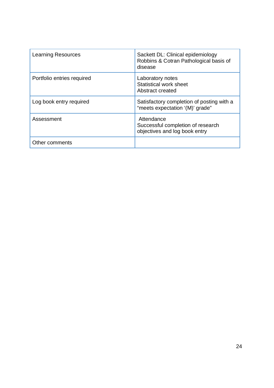| <b>Learning Resources</b>  | Sackett DL: Clinical epidemiology<br>Robbins & Cotran Pathological basis of<br>disease |
|----------------------------|----------------------------------------------------------------------------------------|
| Portfolio entries required | Laboratory notes<br>Statistical work sheet<br>Abstract created                         |
| Log book entry required    | Satisfactory completion of posting with a<br>"meets expectation '(M)' grade"           |
| Assessment                 | Attendance<br>Successful completion of research<br>objectives and log book entry       |
| Other comments             |                                                                                        |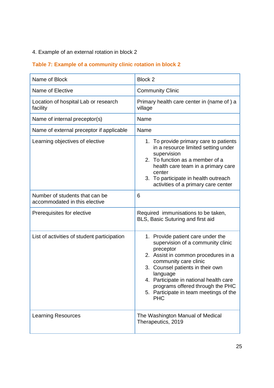#### 4. Example of an external rotation in block 2

### **Table 7: Example of a community clinic rotation in block 2**

| Name of Block                                                   | Block 2                                                                                                                                                                                                                                                                                                                                   |
|-----------------------------------------------------------------|-------------------------------------------------------------------------------------------------------------------------------------------------------------------------------------------------------------------------------------------------------------------------------------------------------------------------------------------|
| Name of Elective                                                | <b>Community Clinic</b>                                                                                                                                                                                                                                                                                                                   |
| Location of hospital Lab or research<br>facility                | Primary health care center in (name of) a<br>village                                                                                                                                                                                                                                                                                      |
| Name of internal preceptor(s)                                   | Name                                                                                                                                                                                                                                                                                                                                      |
| Name of external preceptor if applicable                        | Name                                                                                                                                                                                                                                                                                                                                      |
| Learning objectives of elective                                 | 1. To provide primary care to patients<br>in a resource limited setting under<br>supervision<br>2. To function as a member of a<br>health care team in a primary care<br>center<br>3. To participate in health outreach<br>activities of a primary care center                                                                            |
| Number of students that can be<br>accommodated in this elective | 6                                                                                                                                                                                                                                                                                                                                         |
| Prerequisites for elective                                      | Required immunisations to be taken,<br>BLS, Basic Suturing and first aid                                                                                                                                                                                                                                                                  |
| List of activities of student participation                     | 1. Provide patient care under the<br>supervision of a community clinic<br>preceptor<br>2. Assist in common procedures in a<br>community care clinic<br>3. Counsel patients in their own<br>language<br>4. Participate in national health care<br>programs offered through the PHC<br>5. Participate in team meetings of the<br><b>PHC</b> |
| <b>Learning Resources</b>                                       | The Washington Manual of Medical<br>Therapeutics, 2019                                                                                                                                                                                                                                                                                    |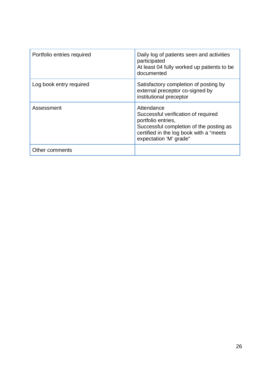| Portfolio entries required | Daily log of patients seen and activities<br>participated<br>At least 04 fully worked up patients to be<br>documented                                                                    |
|----------------------------|------------------------------------------------------------------------------------------------------------------------------------------------------------------------------------------|
| Log book entry required    | Satisfactory completion of posting by<br>external preceptor co-signed by<br>institutional preceptor                                                                                      |
| Assessment                 | Attendance<br>Successful verification of required<br>portfolio entries,<br>Successful completion of the posting as<br>certified in the log book with a "meets"<br>expectation 'M' grade" |
| Other comments             |                                                                                                                                                                                          |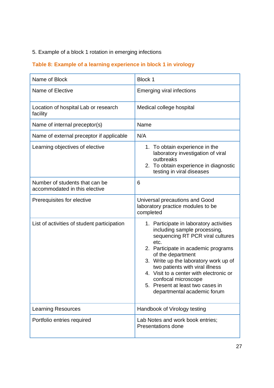#### 5. Example of a block 1 rotation in emerging infections

### **Table 8: Example of a learning experience in block 1 in virology**

| Name of Block                                                   | Block 1                                                                                                                                                                                                                                                                                                                                                                                          |
|-----------------------------------------------------------------|--------------------------------------------------------------------------------------------------------------------------------------------------------------------------------------------------------------------------------------------------------------------------------------------------------------------------------------------------------------------------------------------------|
| Name of Elective                                                | <b>Emerging viral infections</b>                                                                                                                                                                                                                                                                                                                                                                 |
| Location of hospital Lab or research<br>facility                | Medical college hospital                                                                                                                                                                                                                                                                                                                                                                         |
| Name of internal preceptor(s)                                   | Name                                                                                                                                                                                                                                                                                                                                                                                             |
| Name of external preceptor if applicable                        | N/A                                                                                                                                                                                                                                                                                                                                                                                              |
| Learning objectives of elective                                 | 1. To obtain experience in the<br>laboratory investigation of viral<br>outbreaks<br>To obtain experience in diagnostic<br>2.<br>testing in viral diseases                                                                                                                                                                                                                                        |
| Number of students that can be<br>accommodated in this elective | 6                                                                                                                                                                                                                                                                                                                                                                                                |
| Prerequisites for elective                                      | Universal precautions and Good<br>laboratory practice modules to be<br>completed                                                                                                                                                                                                                                                                                                                 |
| List of activities of student participation                     | 1. Participate in laboratory activities<br>including sample processing,<br>sequencing RT PCR viral cultures<br>etc.<br>2. Participate in academic programs<br>of the department<br>3. Write up the laboratory work up of<br>two patients with viral illness<br>4. Visit to a center with electronic or<br>confocal microscope<br>5. Present at least two cases in<br>departmental academic forum |
| <b>Learning Resources</b>                                       | Handbook of Virology testing                                                                                                                                                                                                                                                                                                                                                                     |
| Portfolio entries required                                      | Lab Notes and work book entries;<br><b>Presentations done</b>                                                                                                                                                                                                                                                                                                                                    |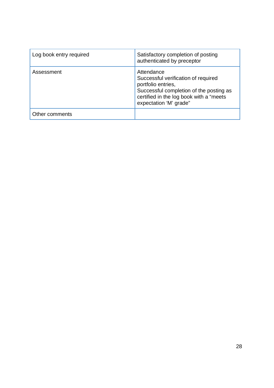| Log book entry required | Satisfactory completion of posting<br>authenticated by preceptor                                                                                                                         |
|-------------------------|------------------------------------------------------------------------------------------------------------------------------------------------------------------------------------------|
| Assessment              | Attendance<br>Successful verification of required<br>portfolio entries,<br>Successful completion of the posting as<br>certified in the log book with a "meets"<br>expectation 'M' grade" |
| Other comments          |                                                                                                                                                                                          |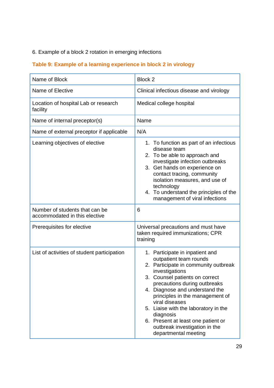#### 6. Example of a block 2 rotation in emerging infections

#### **Table 9: Example of a learning experience in block 2 in virology**

| Name of Block                                                   | Block 2                                                                                                                                                                                                                                                                                                                                                                                                                          |
|-----------------------------------------------------------------|----------------------------------------------------------------------------------------------------------------------------------------------------------------------------------------------------------------------------------------------------------------------------------------------------------------------------------------------------------------------------------------------------------------------------------|
| Name of Elective                                                | Clinical infectious disease and virology                                                                                                                                                                                                                                                                                                                                                                                         |
| Location of hospital Lab or research<br>facility                | Medical college hospital                                                                                                                                                                                                                                                                                                                                                                                                         |
| Name of internal preceptor(s)                                   | Name                                                                                                                                                                                                                                                                                                                                                                                                                             |
| Name of external preceptor if applicable                        | N/A                                                                                                                                                                                                                                                                                                                                                                                                                              |
| Learning objectives of elective                                 | 1. To function as part of an infectious<br>disease team<br>2. To be able to approach and<br>investigate infection outbreaks<br>3. Get hands on experience on<br>contact tracing, community<br>isolation measures, and use of<br>technology<br>4. To understand the principles of the<br>management of viral infections                                                                                                           |
| Number of students that can be<br>accommodated in this elective | 6                                                                                                                                                                                                                                                                                                                                                                                                                                |
| Prerequisites for elective                                      | Universal precautions and must have<br>taken required immunizations; CPR<br>training                                                                                                                                                                                                                                                                                                                                             |
| List of activities of student participation                     | 1. Participate in inpatient and<br>outpatient team rounds<br>2. Participate in community outbreak<br>investigations<br>3. Counsel patients on correct<br>precautions during outbreaks<br>4. Diagnose and understand the<br>principles in the management of<br>viral diseases<br>5. Liaise with the laboratory in the<br>diagnosis<br>6. Present at least one patient or<br>outbreak investigation in the<br>departmental meeting |